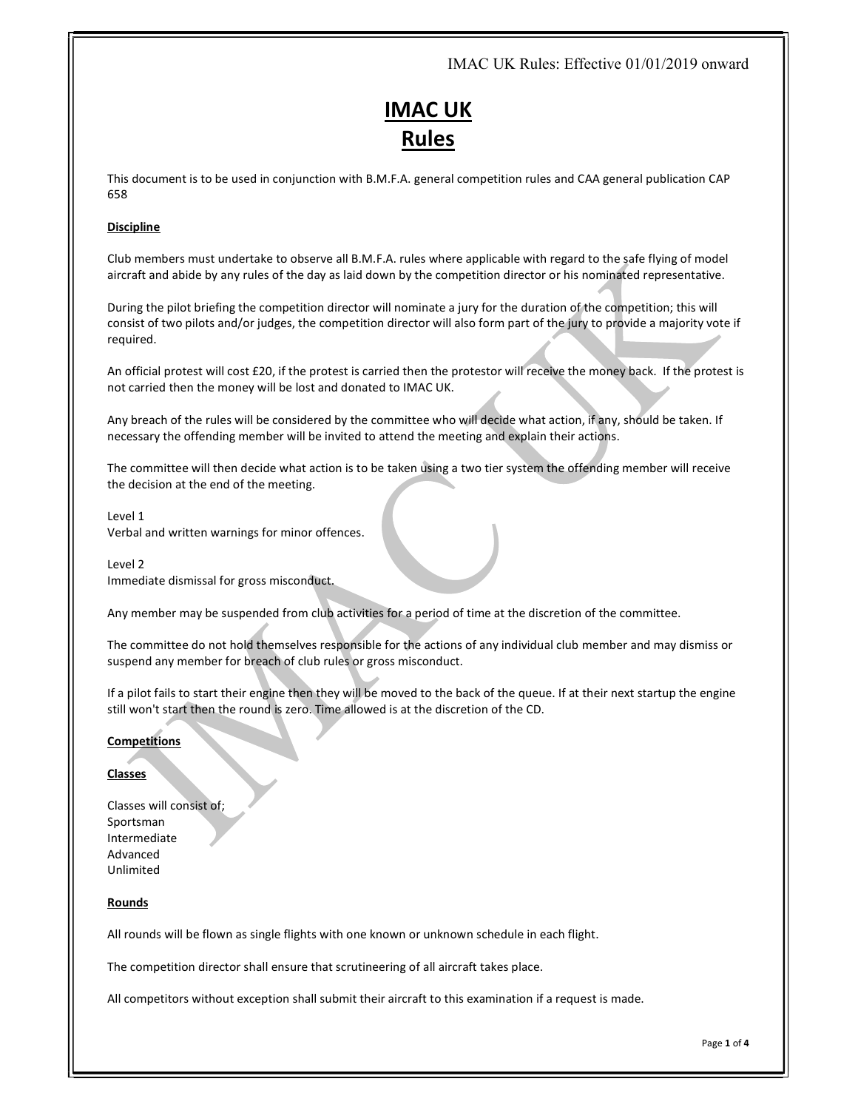# IMAC UK Rules: Effective 01/01/2019 onward

# IMAC UK Rules

This document is to be used in conjunction with B.M.F.A. general competition rules and CAA general publication CAP 658

# Discipline

Club members must undertake to observe all B.M.F.A. rules where applicable with regard to the safe flying of model aircraft and abide by any rules of the day as laid down by the competition director or his nominated representative.

During the pilot briefing the competition director will nominate a jury for the duration of the competition; this will consist of two pilots and/or judges, the competition director will also form part of the jury to provide a majority vote if required.

An official protest will cost £20, if the protest is carried then the protestor will receive the money back. If the protest is not carried then the money will be lost and donated to IMAC UK.

Any breach of the rules will be considered by the committee who will decide what action, if any, should be taken. If necessary the offending member will be invited to attend the meeting and explain their actions.

The committee will then decide what action is to be taken using a two tier system the offending member will receive the decision at the end of the meeting.

Level 1 Verbal and written warnings for minor offences.

Level 2 Immediate dismissal for gross misconduct.

Any member may be suspended from club activities for a period of time at the discretion of the committee.

The committee do not hold themselves responsible for the actions of any individual club member and may dismiss or suspend any member for breach of club rules or gross misconduct.

If a pilot fails to start their engine then they will be moved to the back of the queue. If at their next startup the engine still won't start then the round is zero. Time allowed is at the discretion of the CD.

# **Competitions**

## Classes

Classes will consist of; Sportsman Intermediate Advanced Unlimited

## **Rounds**

All rounds will be flown as single flights with one known or unknown schedule in each flight.

The competition director shall ensure that scrutineering of all aircraft takes place.

All competitors without exception shall submit their aircraft to this examination if a request is made.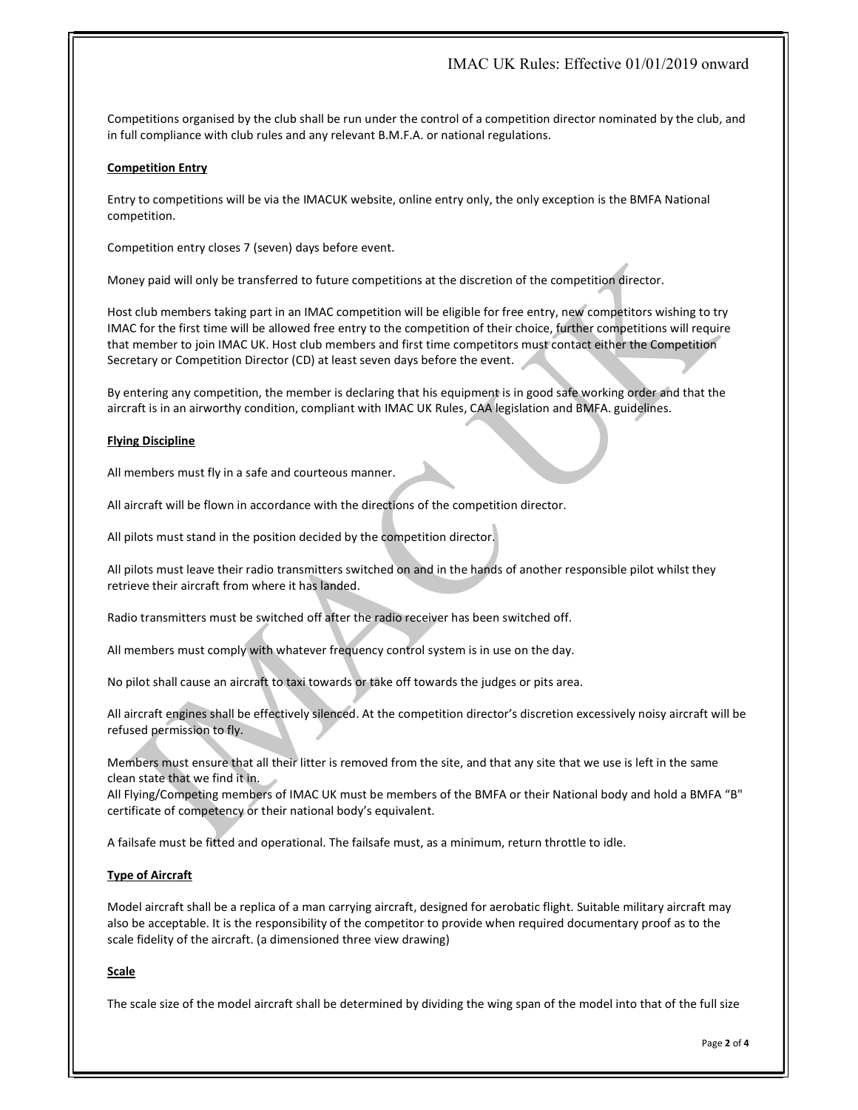# IMAC UK Rules: Effective 01/01/2019 onward

Competitions organised by the club shall be run under the control of a competition director nominated by the club, and in full compliance with club rules and any relevant B.M.F.A. or national regulations.

# Competition Entry

Entry to competitions will be via the IMACUK website, online entry only, the only exception is the BMFA National competition.

Competition entry closes 7 (seven) days before event.

Money paid will only be transferred to future competitions at the discretion of the competition director.

Host club members taking part in an IMAC competition will be eligible for free entry, new competitors wishing to try IMAC for the first time will be allowed free entry to the competition of their choice, further competitions will require that member to join IMAC UK. Host club members and first time competitors must contact either the Competition Secretary or Competition Director (CD) at least seven days before the event.

By entering any competition, the member is declaring that his equipment is in good safe working order and that the aircraft is in an airworthy condition, compliant with IMAC UK Rules, CAA legislation and BMFA. guidelines.

# Flying Discipline

All members must fly in a safe and courteous manner.

All aircraft will be flown in accordance with the directions of the competition director.

All pilots must stand in the position decided by the competition director.

All pilots must leave their radio transmitters switched on and in the hands of another responsible pilot whilst they retrieve their aircraft from where it has landed.

Radio transmitters must be switched off after the radio receiver has been switched off.

All members must comply with whatever frequency control system is in use on the day.

No pilot shall cause an aircraft to taxi towards or take off towards the judges or pits area.

All aircraft engines shall be effectively silenced. At the competition director's discretion excessively noisy aircraft will be refused permission to fly.

Members must ensure that all their litter is removed from the site, and that any site that we use is left in the same clean state that we find it in.

All Flying/Competing members of IMAC UK must be members of the BMFA or their National body and hold a BMFA "B" certificate of competency or their national body's equivalent.

A failsafe must be fitted and operational. The failsafe must, as a minimum, return throttle to idle.

# Type of Aircraft

Model aircraft shall be a replica of a man carrying aircraft, designed for aerobatic flight. Suitable military aircraft may also be acceptable. It is the responsibility of the competitor to provide when required documentary proof as to the scale fidelity of the aircraft. (a dimensioned three view drawing)

# **Scale**

The scale size of the model aircraft shall be determined by dividing the wing span of the model into that of the full size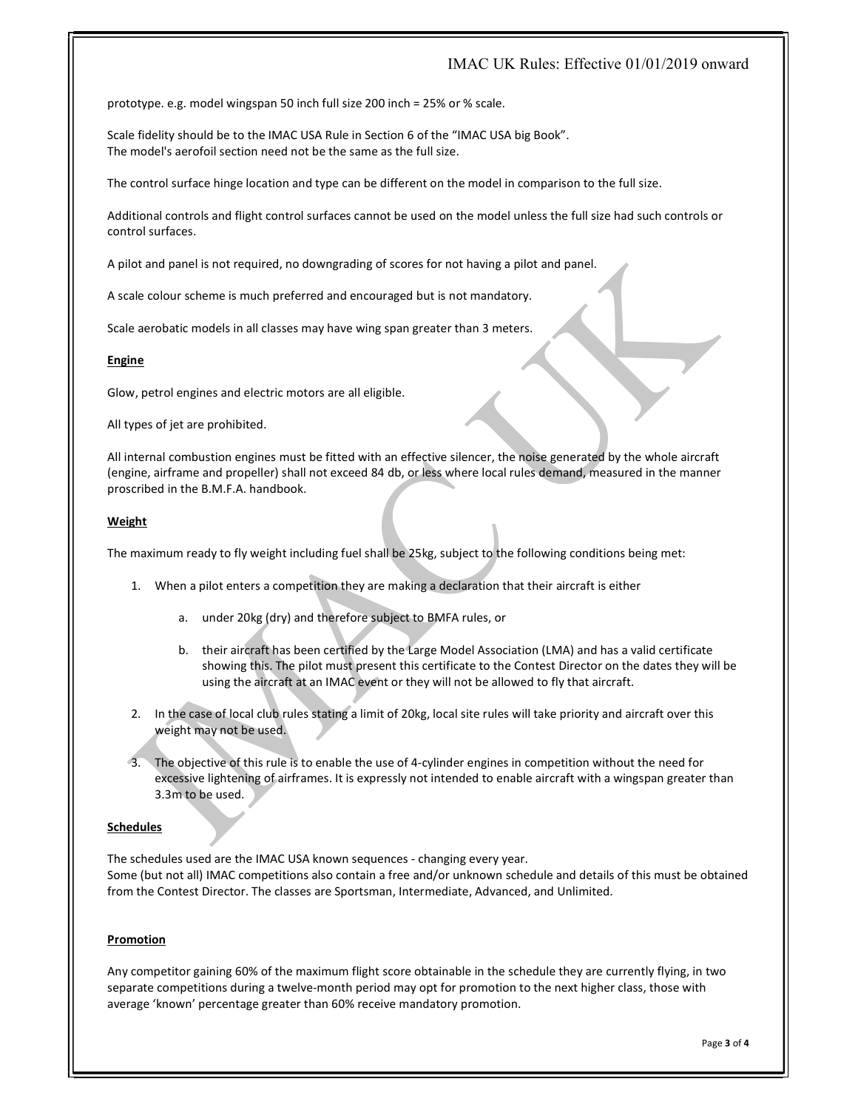# IMAC UK Rules: Effective 01/01/2019 onward

prototype. e.g. model wingspan 50 inch full size 200 inch = 25% or % scale.

Scale fidelity should be to the IMAC USA Rule in Section 6 of the "IMAC USA big Book". The model's aerofoil section need not be the same as the full size.

The control surface hinge location and type can be different on the model in comparison to the full size.

Additional controls and flight control surfaces cannot be used on the model unless the full size had such controls or control surfaces.

A pilot and panel is not required, no downgrading of scores for not having a pilot and panel.

A scale colour scheme is much preferred and encouraged but is not mandatory.

Scale aerobatic models in all classes may have wing span greater than 3 meters.

#### **Engine**

Glow, petrol engines and electric motors are all eligible.

All types of jet are prohibited.

All internal combustion engines must be fitted with an effective silencer, the noise generated by the whole aircraft (engine, airframe and propeller) shall not exceed 84 db, or less where local rules demand, measured in the manner proscribed in the B.M.F.A. handbook.

## Weight

The maximum ready to fly weight including fuel shall be 25kg, subject to the following conditions being met:

- 1. When a pilot enters a competition they are making a declaration that their aircraft is either
	- a. under 20kg (dry) and therefore subject to BMFA rules, or
	- b. their aircraft has been certified by the Large Model Association (LMA) and has a valid certificate showing this. The pilot must present this certificate to the Contest Director on the dates they will be using the aircraft at an IMAC event or they will not be allowed to fly that aircraft.
- 2. In the case of local club rules stating a limit of 20kg, local site rules will take priority and aircraft over this weight may not be used.
- 3. The objective of this rule is to enable the use of 4-cylinder engines in competition without the need for excessive lightening of airframes. It is expressly not intended to enable aircraft with a wingspan greater than 3.3m to be used.

#### Schedules

The schedules used are the IMAC USA known sequences - changing every year. Some (but not all) IMAC competitions also contain a free and/or unknown schedule and details of this must be obtained from the Contest Director. The classes are Sportsman, Intermediate, Advanced, and Unlimited.

## Promotion

Any competitor gaining 60% of the maximum flight score obtainable in the schedule they are currently flying, in two separate competitions during a twelve-month period may opt for promotion to the next higher class, those with average 'known' percentage greater than 60% receive mandatory promotion.